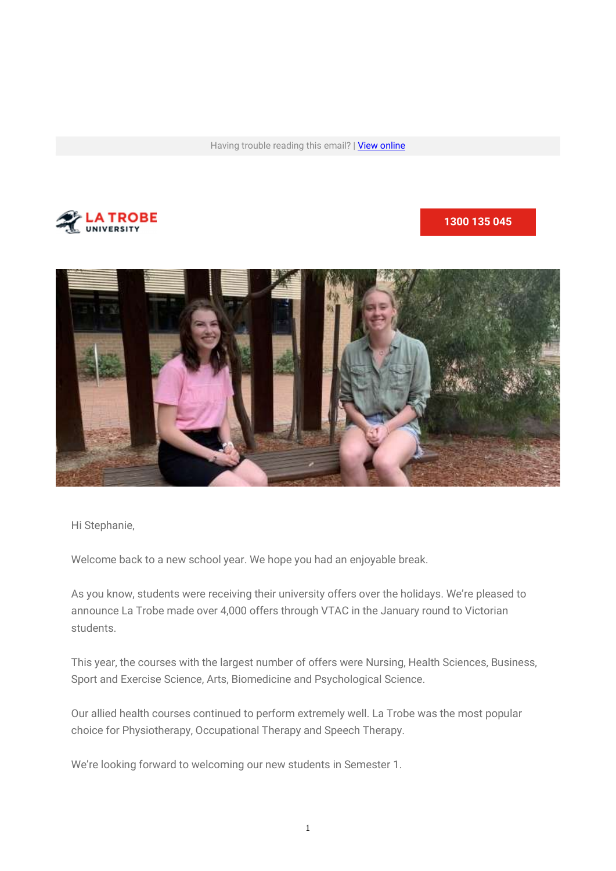Having trouble reading this email? | View online



### 1300 135 045



Hi Stephanie,

Welcome back to a new school year. We hope you had an enjoyable break.

As you know, students were receiving their university offers over the holidays. We're pleased to announce La Trobe made over 4,000 offers through VTAC in the January round to Victorian students.

This year, the courses with the largest number of offers were Nursing, Health Sciences, Business, Sport and Exercise Science, Arts, Biomedicine and Psychological Science.

Our allied health courses continued to perform extremely well. La Trobe was the most popular choice for Physiotherapy, Occupational Therapy and Speech Therapy.

We're looking forward to welcoming our new students in Semester 1.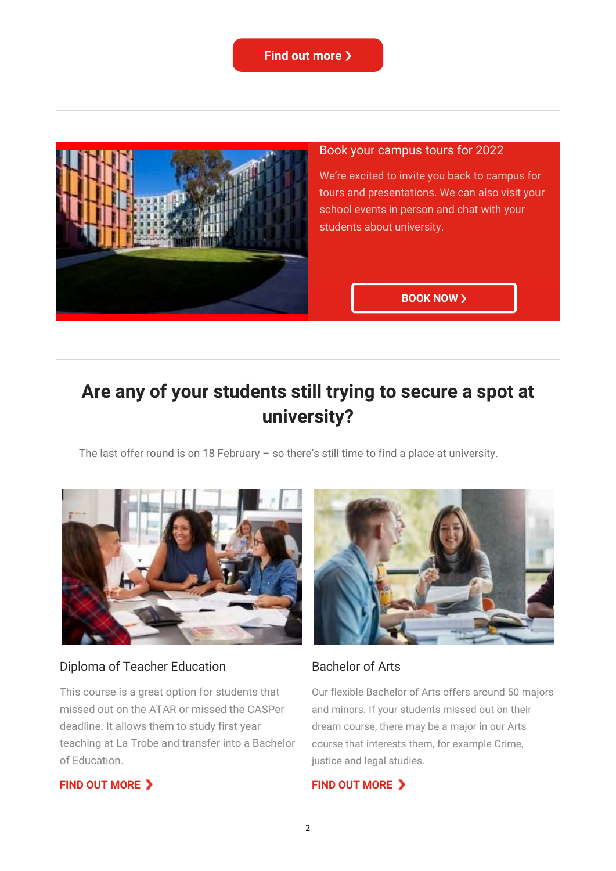

### Book your campus tours for 2022

We're excited to invite you back to campus for tours and presentations. We can also visit your school events in person and chat with your students about university.

#### **BOOK NOW >**

# Are any of your students still trying to secure a spot at university?

The last offer round is on 18 February – so there's still time to find a place at university.



### Diploma of Teacher Education

This course is a great option for students that missed out on the ATAR or missed the CASPer deadline. It allows them to study first year teaching at La Trobe and transfer into a Bachelor of Education.

#### Bachelor of Arts

Our flexible Bachelor of Arts offers around 50 majors and minors. If your students missed out on their dream course, there may be a major in our Arts course that interests them, for example Crime, justice and legal studies.

#### FIND OUT MORE >

#### FIND OUT MORE >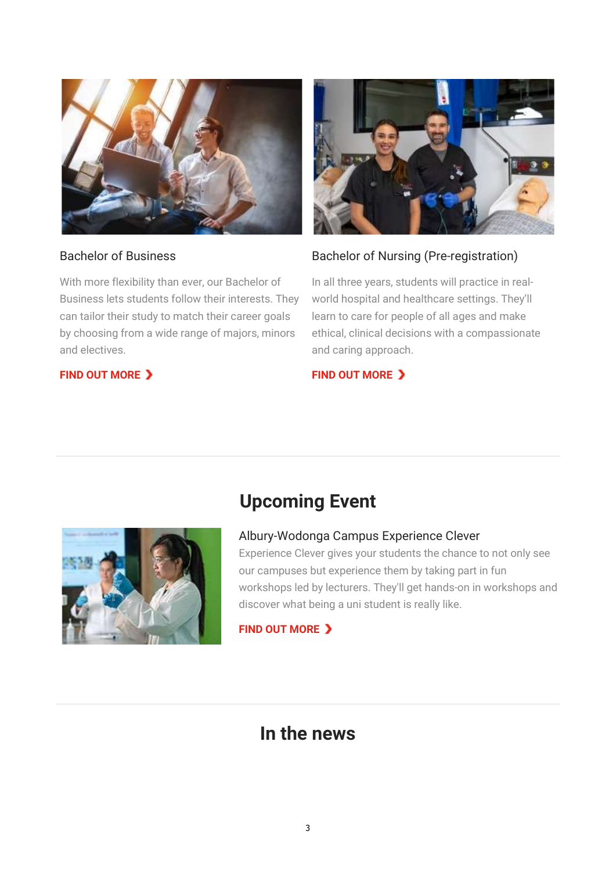

## Bachelor of Business

With more flexibility than ever, our Bachelor of Business lets students follow their interests. They can tailor their study to match their career goals by choosing from a wide range of majors, minors and electives.

# FIND OUT MORE >



# Bachelor of Nursing (Pre-registration)

In all three years, students will practice in realworld hospital and healthcare settings. They'll learn to care for people of all ages and make ethical, clinical decisions with a compassionate and caring approach.

# FIND OUT MORE >



# Albury-Wodonga Campus Experience Clever

Upcoming Event

Experience Clever gives your students the chance to not only see our campuses but experience them by taking part in fun workshops led by lecturers. They'll get hands-on in workshops and discover what being a uni student is really like.

FIND OUT MORE >

# In the news